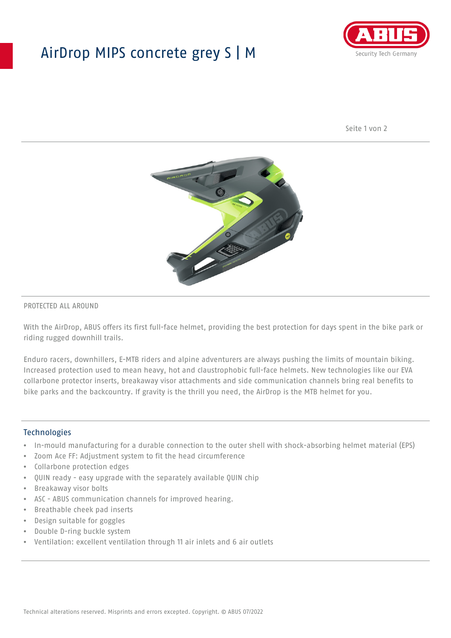## AirDrop MIPS concrete grey S | M



Seite 1 von 2



#### PROTECTED ALL AROUND

With the AirDrop, ABUS offers its first full-face helmet, providing the best protection for days spent in the bike park or riding rugged downhill trails.

Enduro racers, downhillers, E-MTB riders and alpine adventurers are always pushing the limits of mountain biking. Increased protection used to mean heavy, hot and claustrophobic full-face helmets. New technologies like our EVA collarbone protector inserts, breakaway visor attachments and side communication channels bring real benefits to bike parks and the backcountry. If gravity is the thrill you need, the AirDrop is the MTB helmet for you.

#### Technologies

- In-mould manufacturing for a durable connection to the outer shell with shock-absorbing helmet material (EPS)
- Zoom Ace FF: Adjustment system to fit the head circumference
- Collarbone protection edges
- QUIN ready easy upgrade with the separately available QUIN chip
- Breakaway visor bolts
- ASC ABUS communication channels for improved hearing.
- Breathable cheek pad inserts
- Design suitable for goggles
- Double D-ring buckle system
- Ventilation: excellent ventilation through 11 air inlets and 6 air outlets